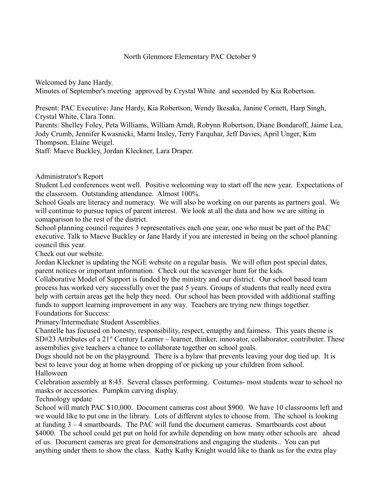## North Glenmore Elementary PAC October 9

Welcomed by Jane Hardy. Minutes of September's meeting approved by Crystal White and seconded by Kia Robertson.

Present: PAC Executive: Jane Hardy, Kia Robertson, Wendy Ikesaka, Janine Cornett, Harp Singh, Crystal White, Clara Tonn.

Parents: Shelley Foley, Peta Williams, William Arndt, Robynn Robertson, Diane Bondaroff, Jaime Lea, Jody Crumb, Jennifer Kwasnicki, Marni Insley, Terry Farquhar, Jeff Davies, April Unger, Kim Thompson, Elaine Weigel.

Staff: Maeve Buckley, Jordan Kleckner, Lara Draper.

## Administrator's Report

Student Led conferences went well. Positive welcoming way to start off the new year. Expectations of the classroom. Outstanding attendance. Almost 100%.

School Goals are literacy and numeracy. We will also be working on our parents as partners goal. We will continue to pursue topics of parent interest. We look at all the data and how we are sitting in comaparison to the rest of the district.

School planning council requires 3 representatives each one year, one who must be part of the PAC executive. Talk to Maeve Buckley or Jane Hardy if you are interested in being on the school planning council this year.

Check out our website.

Jordan Kleckner is updating the NGE website on a regular basis. We will often post special dates, parent notices or important information. Check out the scavenger hunt for the kids.

Collaborative Model of Support is funded by the ministry and our district. Our school based team process has worked very sucessfully over the past 5 years. Groups of students that really need extra help with certain areas get the help they need. Our school has been provided with additional staffing funds to support learning improvement in any way. Teachers are trying new things together. Foundations for Success:

Primary/Intermediate Student Assemblies.

Chantelle has focused on honesty, responsibility, respect, emapthy and fairness. This years theme is SD#23 Attributes of a 21<sup>st</sup> Century Learner – learner, thinker, innovator, collaborator, contributer. These assembilies give teachers a chance to collaborate together on school goals.

Dogs should not be on the playground. There is a bylaw that prevents leaving your dog tied up. It is best to leave your dog at home when dropping of or picking up your children from school. Halloween

Celebration assembly at 8:45. Several classes performing. Costumes- most students wear to school no masks or accessories. Pumpkin carving display.

Technology update

School will match PAC \$10,000. Document cameras cost about \$900. We have 10 classrooms left and we would like to put one in the library. Lots of different styles to choose from. The school is looking at funding 3 – 4 smartboards. The PAC will fund the document cameras. Smartboards cost about \$4000. The school could get put on hold for awhile depending on how many other schools are ahead of us. Document cameras are great for demonstrations and engaging the students.. You can put anything under them to show the class. Kathy Kathy Knight would like to thank us for the extra play